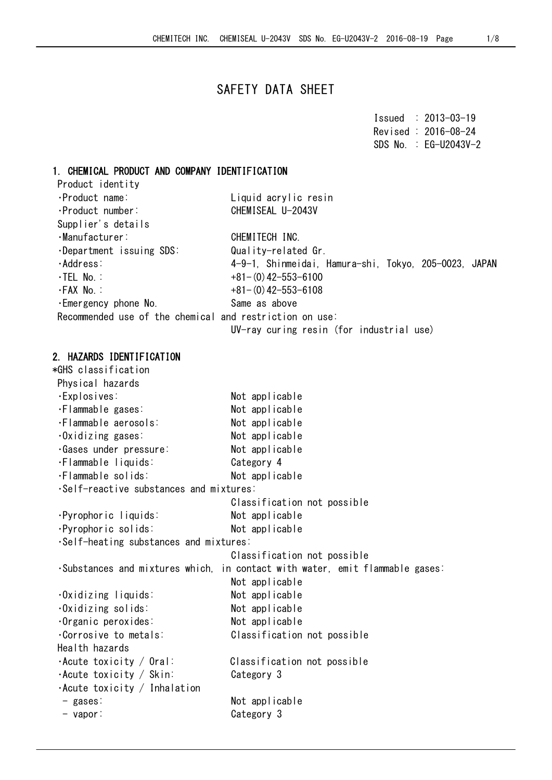# SAFETY DATA SHEET

|  | $I$ ssued : 2013-03-19  |
|--|-------------------------|
|  | Revised: 2016-08-24     |
|  | $SDS$ No. : EG-U2043V-2 |

### 1. CHEMICAL PRODUCT AND COMPANY IDENTIFICATION

| Product identity                                        |                                                       |
|---------------------------------------------------------|-------------------------------------------------------|
| ·Product name:                                          | Liquid acrylic resin                                  |
| ·Product number:                                        | CHEMISEAL U-2043V                                     |
| Supplier's details                                      |                                                       |
| ·Manufacturer:                                          | CHEMITECH INC.                                        |
| $\cdot$ Department issuing SDS:                         | Quality-related Gr.                                   |
| ·Address:                                               | 4-9-1, Shinmeidai, Hamura-shi, Tokyo, 205-0023, JAPAN |
| $\cdot$ TEL No.:                                        | $+81-(0)$ 42-553-6100                                 |
| ∙FAX No.∶                                               | $+81-(0)$ 42-553-6108                                 |
| .Emergency phone No.                                    | Same as above                                         |
| Recommended use of the chemical and restriction on use: |                                                       |
|                                                         | IN and contain and the Zena the holds to the cont     |

#### UV-ray curing resin (for industrial use)

### 2. HAZARDS IDENTIFICATION

| *GHS classification                     |                                              |
|-----------------------------------------|----------------------------------------------|
| Physical hazards                        |                                              |
| ·Explosives:                            | Not applicable                               |
| ·Flammable gases:                       | Not applicable                               |
| ·Flammable aerosols:                    | Not applicable                               |
| .Oxidizing gases:                       | Not applicable                               |
| · Gases under pressure:                 | Not applicable                               |
| ·Flammable liquids:                     | Category 4                                   |
| ·Flammable solids:                      | Not applicable                               |
| ·Self-reactive substances and mixtures: |                                              |
|                                         | Classification not possible                  |
| ·Pyrophoric liquids:                    | Not applicable                               |
| ·Pyrophoric solids:                     | Not applicable                               |
| ·Self-heating substances and mixtures:  |                                              |
|                                         | Classification not possible                  |
| Substances and mixtures which.          | in contact with water, emit flammable gases: |
|                                         | Not applicable                               |
| ·Oxidizing liquids:                     | Not applicable                               |
| $0x$ idizing solids:                    | Not applicable                               |
| ·Organic peroxides:                     | Not applicable                               |
| Corrosive to metals:                    | Classification not possible                  |
| Health hazards                          |                                              |
| $\cdot$ Acute toxicity / Oral:          | Classification not possible                  |
| $\cdot$ Acute toxicity / Skin:          | Category 3                                   |
| $\cdot$ Acute toxicity / Inhalation     |                                              |
| $-$ gases:                              | Not applicable                               |
| $-$ vapor:                              | Category 3                                   |
|                                         |                                              |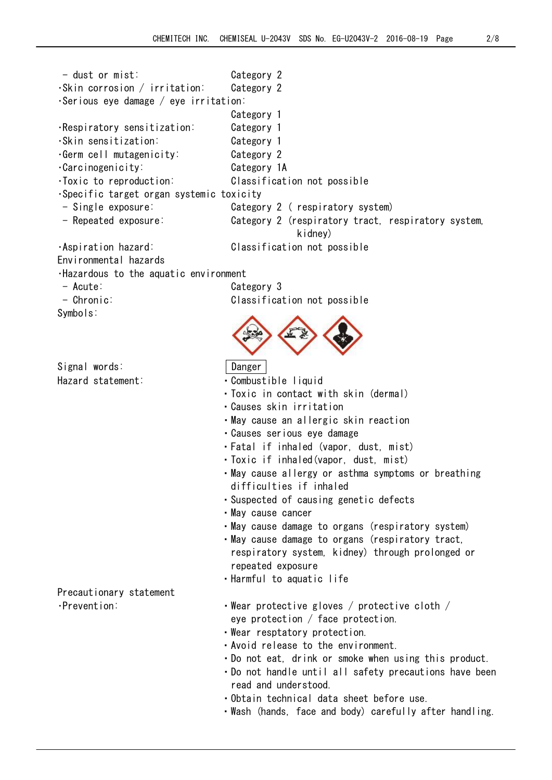| $-$ dust or mist:                            | Category 2                                                                     |
|----------------------------------------------|--------------------------------------------------------------------------------|
| $\cdot$ Skin corrosion / irritation:         | Category 2                                                                     |
| $\cdot$ Serious eye damage / eye irritation: |                                                                                |
|                                              | Category 1                                                                     |
| ·Respiratory sensitization:                  | Category 1                                                                     |
| ·Skin sensitization:                         | Category 1                                                                     |
| .Germ cell mutagenicity:                     | Category 2                                                                     |
| ·Carcinogenicity:                            | Category 1A                                                                    |
| · Toxic to reproduction:                     | Classification not possible                                                    |
| ·Specific target organ systemic toxicity     |                                                                                |
| - Single exposure:                           | Category 2 (respiratory system)                                                |
| - Repeated exposure:                         | Category 2 (respiratory tract, respiratory system,<br>kidney)                  |
| ·Aspiration hazard:                          | Classification not possible                                                    |
| Environmental hazards                        |                                                                                |
| .Hazardous to the aquatic environment        |                                                                                |
| $-$ Acute:                                   | Category 3                                                                     |
| $-$ Chronic:                                 | Classification not possible                                                    |
| Symbols:                                     |                                                                                |
|                                              |                                                                                |
|                                              |                                                                                |
|                                              |                                                                                |
| Signal words:                                | Danger                                                                         |
| Hazard statement:                            | · Combustible liquid                                                           |
|                                              | • Toxic in contact with skin (dermal)                                          |
|                                              | · Causes skin irritation                                                       |
|                                              | •May cause an allergic skin reaction                                           |
|                                              | · Causes serious eye damage                                                    |
|                                              | · Fatal if inhaled (vapor, dust, mist)                                         |
|                                              | · Toxic if inhaled(vapor, dust, mist)                                          |
|                                              | · May cause allergy or asthma symptoms or breathing<br>difficulties if inhaled |
|                                              | · Suspected of causing genetic defects                                         |
|                                              | • May cause cancer                                                             |
|                                              | • May cause damage to organs (respiratory system)                              |
|                                              | • May cause damage to organs (respiratory tract,                               |
|                                              | respiratory system, kidney) through prolonged or                               |
|                                              | repeated exposure                                                              |
|                                              | · Harmful to aquatic life                                                      |
| Precautionary statement                      |                                                                                |
| ·Prevention:                                 | $\cdot$ Wear protective gloves / protective cloth /                            |
|                                              | eye protection $/$ face protection.                                            |
|                                              | . Wear resptatory protection.                                                  |
|                                              | • Avoid release to the environment.                                            |
|                                              | . Do not eat, drink or smoke when using this product.                          |
|                                              | • Do not handle until all safety precautions have been                         |
|                                              | read and understood.                                                           |
|                                              | · Obtain technical data sheet before use.                                      |
|                                              | ·Wash (hands, face and body) carefully after handling.                         |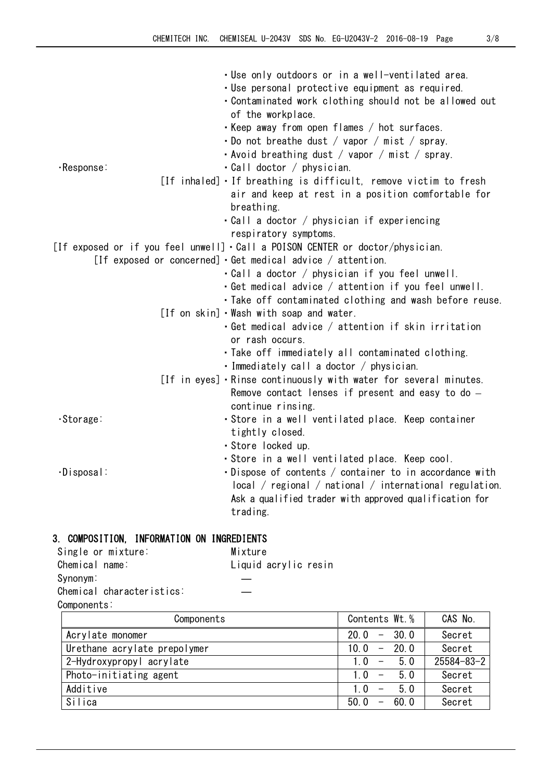|                   | . Use only outdoors or in a well-ventilated area.                                    |
|-------------------|--------------------------------------------------------------------------------------|
|                   | · Use personal protective equipment as required.                                     |
|                   | . Contaminated work clothing should not be allowed out                               |
|                   | of the workplace.                                                                    |
|                   | • Keep away from open flames / hot surfaces.                                         |
|                   | $\cdot$ Do not breathe dust / vapor / mist / spray.                                  |
|                   | • Avoid breathing dust / vapor / mist / spray.                                       |
| $\cdot$ Response: | $\cdot$ Call doctor / physician.                                                     |
|                   | [If inhaled] If breathing is difficult, remove victim to fresh                       |
|                   | air and keep at rest in a position comfortable for                                   |
|                   | breathing.                                                                           |
|                   | • Call a doctor / physician if experiencing                                          |
|                   | respiratory symptoms.                                                                |
|                   | [If exposed or if you feel unwell] $\cdot$ Call a POISON CENTER or doctor/physician. |
|                   | [If exposed or concerned] $\cdot$ Get medical advice / attention.                    |
|                   | • Call a doctor / physician if you feel unwell.                                      |
|                   | $\cdot$ Get medical advice / attention if you feel unwell.                           |
|                   |                                                                                      |
|                   | . Take off contaminated clothing and wash before reuse.                              |
|                   | [If on skin] Wash with soap and water.                                               |
|                   | $\cdot$ Get medical advice / attention if skin irritation                            |
|                   | or rash occurs.                                                                      |
|                   | · Take off immediately all contaminated clothing.                                    |
|                   | $\cdot$ Immediately call a doctor / physician.                                       |
|                   | [If in eyes] • Rinse continuously with water for several minutes.                    |
|                   | Remove contact lenses if present and easy to do $-$                                  |
|                   | continue rinsing.                                                                    |
| ·Storage:         | · Store in a well ventilated place. Keep container                                   |
|                   | tightly closed.                                                                      |
|                   | · Store locked up.                                                                   |
|                   | · Store in a well ventilated place. Keep cool.                                       |
| $\cdot$ Disposal: | • Dispose of contents / container to in accordance with                              |
|                   | $\alpha$ / regional / national / international regulation.                           |
|                   | Ask a qualified trader with approved qualification for                               |
|                   | trading.                                                                             |

# 3. COMPOSITION, INFORMATION ON INGREDIENTS

| Single or mixture:        | Mixture              |  |
|---------------------------|----------------------|--|
| Chemical name:            | Liquid acrylic resin |  |
| Synonym:                  |                      |  |
| Chemical characteristics: |                      |  |
| Components:               |                      |  |
|                           |                      |  |

| Components                   | Contents Wt. %                            | CAS No.          |
|------------------------------|-------------------------------------------|------------------|
| Acrylate monomer             | $-30.0$<br>20.0                           | Secret           |
| Urethane acrylate prepolymer | $-20.0$<br>10.0                           | Secret           |
| 2-Hydroxypropyl acrylate     | 50<br>10<br>$\overline{\phantom{0}}$      | $25584 - 83 - 2$ |
| Photo-initiating agent       | 50<br>1 <sub>0</sub><br>$\overline{a}$    | Secret           |
| Additive                     | 5.0<br>$1\,0$<br>$\overline{\phantom{a}}$ | Secret           |
| Silica                       | 60.0<br>50.0<br>$\overline{\phantom{m}}$  | Secret           |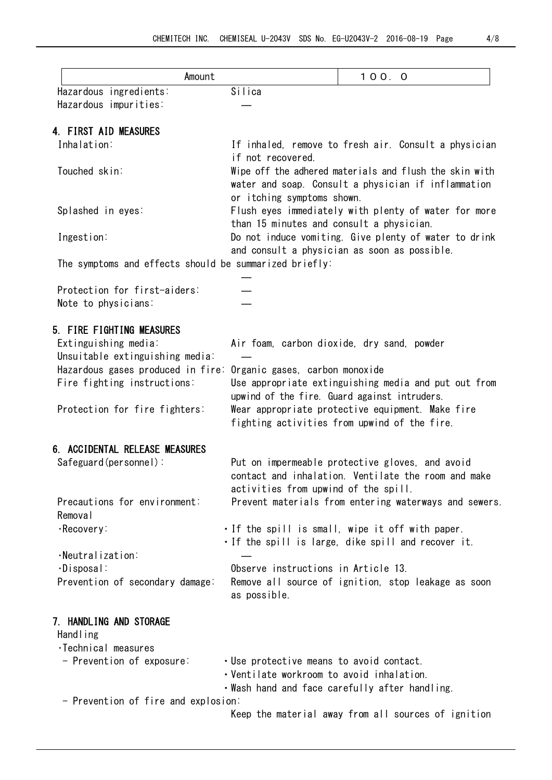| Amount                                                 |                                           | 100.0                                                  |  |
|--------------------------------------------------------|-------------------------------------------|--------------------------------------------------------|--|
| Hazardous ingredients:                                 | Silica                                    |                                                        |  |
| Hazardous impurities:                                  |                                           |                                                        |  |
|                                                        |                                           |                                                        |  |
| 4. FIRST AID MEASURES                                  |                                           |                                                        |  |
| Inhalation:                                            | if not recovered.                         | If inhaled, remove to fresh air. Consult a physician   |  |
| Touched skin:                                          |                                           | Wipe off the adhered materials and flush the skin with |  |
|                                                        |                                           | water and soap. Consult a physician if inflammation    |  |
|                                                        | or itching symptoms shown.                |                                                        |  |
| Splashed in eyes:                                      |                                           | Flush eyes immediately with plenty of water for more   |  |
|                                                        | than 15 minutes and consult a physician.  |                                                        |  |
| Ingestion:                                             |                                           | Do not induce vomiting. Give plenty of water to drink  |  |
|                                                        |                                           | and consult a physician as soon as possible.           |  |
| The symptoms and effects should be summarized briefly: |                                           |                                                        |  |
| Protection for first-aiders:                           |                                           |                                                        |  |
| Note to physicians:                                    |                                           |                                                        |  |
|                                                        |                                           |                                                        |  |
| 5. FIRE FIGHTING MEASURES                              |                                           |                                                        |  |
| Extinguishing media:                                   |                                           | Air foam, carbon dioxide, dry sand, powder             |  |
| Unsuitable extinguishing media:                        |                                           |                                                        |  |
| Hazardous gases produced in fire:                      | Organic gases, carbon monoxide            |                                                        |  |
| Fire fighting instructions:                            |                                           | Use appropriate extinguishing media and put out from   |  |
|                                                        |                                           | upwind of the fire. Guard against intruders.           |  |
| Protection for fire fighters:                          |                                           | Wear appropriate protective equipment. Make fire       |  |
|                                                        |                                           | fighting activities from upwind of the fire.           |  |
| 6. ACCIDENTAL RELEASE MEASURES                         |                                           |                                                        |  |
| Safeguard(personnel):                                  |                                           | Put on impermeable protective gloves, and avoid        |  |
|                                                        |                                           | contact and inhalation. Ventilate the room and make    |  |
|                                                        | activities from upwind of the spill.      |                                                        |  |
| Precautions for environment:                           |                                           | Prevent materials from entering waterways and sewers.  |  |
| Removal                                                |                                           |                                                        |  |
| ·Recovery:                                             |                                           | . If the spill is small, wipe it off with paper.       |  |
|                                                        |                                           | . If the spill is large, dike spill and recover it.    |  |
| $\cdot$ Neutralization:                                |                                           |                                                        |  |
| $\cdot$ Disposal:                                      | Observe instructions in Article 13.       |                                                        |  |
| Prevention of secondary damage:                        |                                           | Remove all source of ignition, stop leakage as soon    |  |
|                                                        | as possible.                              |                                                        |  |
| 7. HANDLING AND STORAGE                                |                                           |                                                        |  |
| Hand ling                                              |                                           |                                                        |  |
| ·Technical measures                                    |                                           |                                                        |  |
| - Prevention of exposure:                              | . Use protective means to avoid contact.  |                                                        |  |
|                                                        | · Ventilate workroom to avoid inhalation. |                                                        |  |

・Wash hand and face carefully after handling.

- Prevention of fire and explosion:

Keep the material away from all sources of ignition

 $\overline{\phantom{a}}$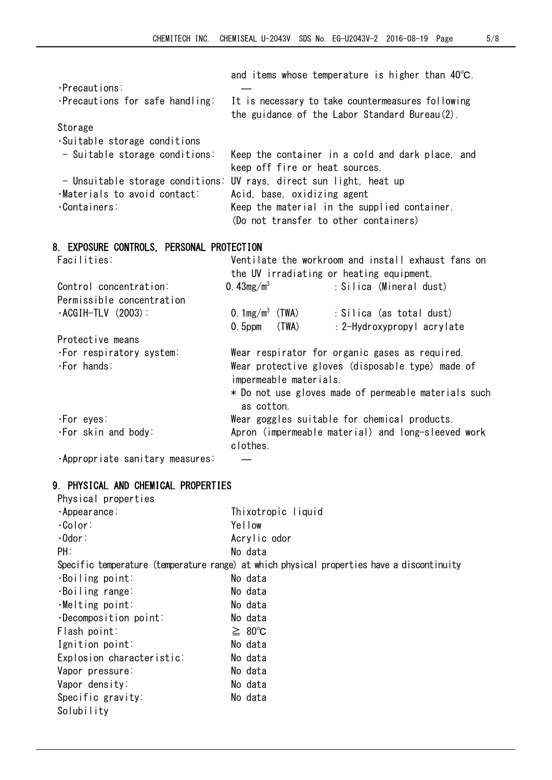|                                           | and items whose temperature is higher than $40^{\circ}$ C.                                         |
|-------------------------------------------|----------------------------------------------------------------------------------------------------|
| $\cdot$ Precautions:                      |                                                                                                    |
| ·Precautions for safe handling:           | It is necessary to take countermeasures following<br>the guidance of the Labor Standard Bureau(2). |
| Storage                                   |                                                                                                    |
| Suitable storage conditions               |                                                                                                    |
| - Suitable storage conditions:            | Keep the container in a cold and dark place, and                                                   |
|                                           | keep off fire or heat sources.                                                                     |
|                                           | - Unsuitable storage conditions: UV rays, direct sun light, heat up                                |
| ·Materials to avoid contact:              | Acid, base, oxidizing agent                                                                        |
| ·Containers:                              | Keep the material in the supplied container.                                                       |
|                                           | (Do not transfer to other containers)                                                              |
|                                           |                                                                                                    |
| 8. EXPOSURE CONTROLS, PERSONAL PROTECTION |                                                                                                    |
| Facilities:                               | Ventilate the workroom and install exhaust fans on                                                 |
|                                           | the UV irradiating or heating equipment.                                                           |
| Control concentration:                    | 0. $43mg/m^3$<br>: Silica (Mineral dust)                                                           |
| Permissible concentration                 |                                                                                                    |
| $\cdot$ ACGIH-TLV (2003):                 | 0. $1mg/m^3$ (TWA)<br>: Silica (as total dust)                                                     |
|                                           | (TWA)<br>$0.5$ ppm<br>: 2-Hydroxypropyl acrylate                                                   |
| Protective means                          |                                                                                                    |
| .For respiratory system:                  | Wear respirator for organic gases as required.                                                     |
| $\cdot$ For hands:                        | Wear protective gloves (disposable type) made of<br>impermeable materials.                         |
|                                           | * Do not use gloves made of permeable materials such<br>as cotton.                                 |
| ·For eyes:                                | Wear goggles suitable for chemical products.                                                       |
| ·For skin and body:                       | Apron (impermeable material) and long-sleeved work                                                 |
|                                           | clothes.                                                                                           |
| ·Appropriate sanitary measures:           |                                                                                                    |
|                                           |                                                                                                    |

# 9. PHYSICAL AND CHEMICAL PROPERTIES

| Physical properties          |                                                                                            |
|------------------------------|--------------------------------------------------------------------------------------------|
| $\cdot$ Appearance:          | Thixotropic liquid                                                                         |
| $·$ Color:                   | Yellow                                                                                     |
| $\cdot$ Odor:                | Acrylic odor                                                                               |
| PH:                          | No data                                                                                    |
|                              | Specific temperature (temperature range) at which physical properties have a discontinuity |
| $\cdot$ Boiling point:       | No data                                                                                    |
| ·Boiling range:              | No data                                                                                    |
| $\cdot$ Melting point:       | No data                                                                                    |
| $\cdot$ Decomposition point: | No data                                                                                    |
| Flash point:                 | $\geq 80^{\circ}$ C                                                                        |
| Ignition point:              | No data                                                                                    |
| Explosion characteristic:    | No data                                                                                    |
| Vapor pressure:              | No data                                                                                    |
| Vapor density:               | No data                                                                                    |
| Specific gravity:            | No data                                                                                    |
| Solubility                   |                                                                                            |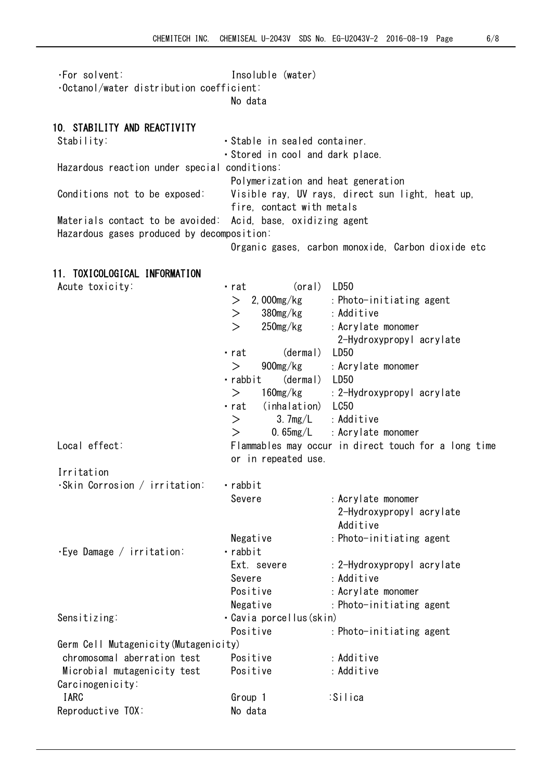| $\cdot$ For solvent:                            | Insoluble (water) |  |
|-------------------------------------------------|-------------------|--|
| $\cdot$ Octanol/water distribution coefficient: |                   |  |
|                                                 | No data           |  |

## 10. STABILITY AND REACTIVITY

| Stability:                                                   | · Stable in sealed container.                      |
|--------------------------------------------------------------|----------------------------------------------------|
|                                                              | Stored in cool and dark place.                     |
| Hazardous reaction under special conditions:                 |                                                    |
|                                                              | Polymerization and heat generation                 |
| Conditions not to be exposed:                                | Visible ray, UV rays, direct sun light, heat up,   |
|                                                              | fire, contact with metals                          |
| Materials contact to be avoided: Acid, base, oxidizing agent |                                                    |
| Hazardous gases produced by decomposition:                   |                                                    |
|                                                              | Organic gases, carbon monoxide, Carbon dioxide etc |

# 11. TOXICOLOGICAL INFORMATION

| Acute toxicity:                       | (oral)<br>· rat                | LD50                                                 |
|---------------------------------------|--------------------------------|------------------------------------------------------|
|                                       | $> 2$ , 000mg/kg               | : Photo-initiating agent                             |
|                                       | 380mg/kg<br>$\geq$             | : Additive                                           |
|                                       | $\mathbf{L}$<br>$250$ mg/ $kg$ | : Acrylate monomer                                   |
|                                       |                                | 2-Hydroxypropyl acrylate                             |
|                                       | (dermal)<br>· rat              | LD <sub>50</sub>                                     |
|                                       | 900mg/kg<br>$\geq$             | : Acrylate monomer                                   |
|                                       | (dermal) LD50<br>· rabbit      |                                                      |
|                                       | $160$ mg/kg<br>$\geq$          | : 2-Hydroxypropyl acrylate                           |
|                                       | (inhalation) LC50<br>· rat     |                                                      |
|                                       | $\rm{>}$                       | $3.7mg/L$ : Additive                                 |
|                                       | $\geq$                         | $0.65mg/L$ : Acrylate monomer                        |
| Local effect:                         |                                | Flammables may occur in direct touch for a long time |
|                                       | or in repeated use.            |                                                      |
| Irritation                            |                                |                                                      |
| $\cdot$ Skin Corrosion / irritation:  | · rabbit                       |                                                      |
|                                       | Severe                         | : Acrylate monomer                                   |
|                                       |                                | 2-Hydroxypropyl acrylate                             |
|                                       |                                | Additive                                             |
|                                       | Negative                       | : Photo-initiating agent                             |
| $\cdot$ Eye Damage / irritation:      | · rabbit                       |                                                      |
|                                       | Ext. severe                    | : 2-Hydroxypropyl acrylate                           |
|                                       | Severe                         | : Additive                                           |
|                                       | Positive                       | : Acrylate monomer                                   |
|                                       | Negative                       | : Photo-initiating agent                             |
| Sensitizing:                          | · Cavia porcellus(skin)        |                                                      |
|                                       | Positive                       | : Photo-initiating agent                             |
| Germ Cell Mutagenicity (Mutagenicity) |                                |                                                      |
| chromosomal aberration test           | Positive                       | : Additive                                           |
| Microbial mutagenicity test           | Positive                       | : Additive                                           |
| Carcinogenicity:                      |                                |                                                      |
| <b>IARC</b>                           | Group 1                        | :Silica                                              |
| Reproductive TOX:                     | No data                        |                                                      |
|                                       |                                |                                                      |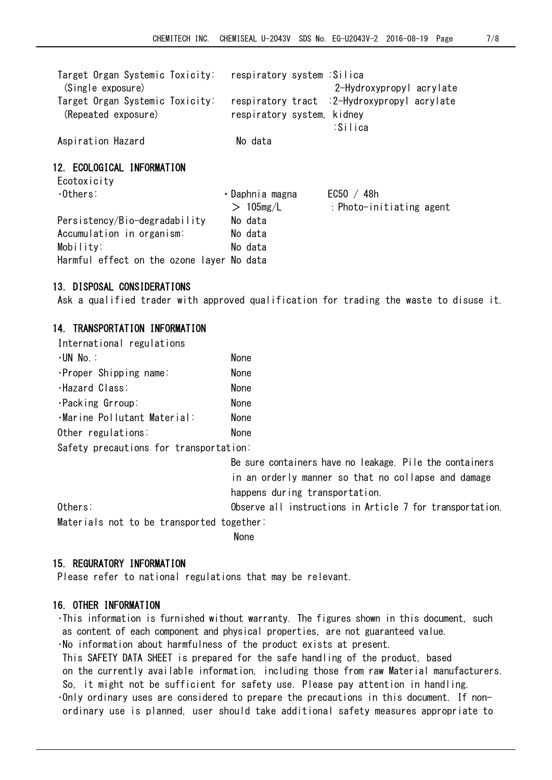| Target Organ Systemic Toxicity:<br>(Single exposure)         | respiratory system :Silica | 2-Hydroxypropyl acrylate                                |
|--------------------------------------------------------------|----------------------------|---------------------------------------------------------|
| Target Organ Systemic Toxicity:<br>(Repeated exposure)       | respiratory system, kidney | respiratory tract : 2-Hydroxypropyl acrylate<br>:Silica |
| Aspiration Hazard                                            | No data                    |                                                         |
| 12. ECOLOGICAL INFORMATION<br>Ecotoxicity<br>$\cdot$ Others: | • Daphnia magna            | EC50 / 48h                                              |
|                                                              | $>105$ mg/L                | : Photo-initiating agent                                |

13.DISPOSAL CONSIDERATIONS

Ask a qualified trader with approved qualification for trading the waste to disuse it.

#### 14. TRANSPORTATION INFORMATION

| International regulations   |             |
|-----------------------------|-------------|
| ·UN No ∶                    | <b>None</b> |
| ·Proper Shipping name:      | <b>None</b> |
| ·Hazard Class:              | <b>None</b> |
| ·Packing Grroup:            | <b>None</b> |
| ·Marine Pollutant Material: | <b>None</b> |
| Other regulations:          | <b>None</b> |
|                             |             |

Persistency/Bio-degradability No data Accumulation in organism: No data Mobility: No data Harmful effect on the ozone layer No data

Safety precautions for transportation:

 Be sure containers have no leakage. Pile the containers in an orderly manner so that no collapse and damage happens during transportation.

Others: 0bserve all instructions in Article 7 for transportation. Materials not to be transported together:

non-state of the contract of the Mone

#### 15. REGURATORY INFORMATION

Please refer to national regulations that may be relevant.

#### 16. OTHER INFORMATION

・This information is furnished without warranty. The figures shown in this document, such as content of each component and physical properties, are not guaranteed value.

・No information about harmfulness of the product exists at present.

This SAFETY DATA SHEET is prepared for the safe handling of the product, based on the currently available information, including those from raw Material manufacturers. So, it might not be sufficient for safety use. Please pay attention in handling. ・Only ordinary uses are considered to prepare the precautions in this document. If nonordinary use is planned, user should take additional safety measures appropriate to